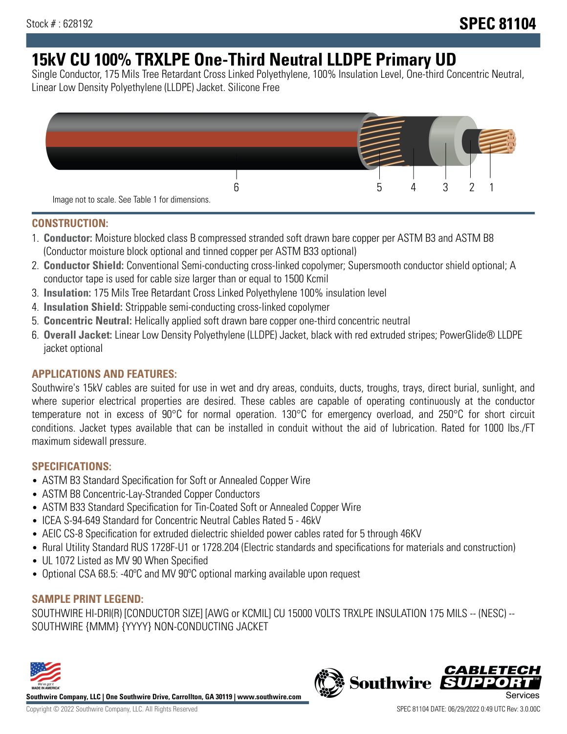# **15kV CU 100% TRXLPE One-Third Neutral LLDPE Primary UD**

Single Conductor, 175 Mils Tree Retardant Cross Linked Polyethylene, 100% Insulation Level, One-third Concentric Neutral, Linear Low Density Polyethylene (LLDPE) Jacket. Silicone Free



### **CONSTRUCTION:**

- 1. **Conductor:** Moisture blocked class B compressed stranded soft drawn bare copper per ASTM B3 and ASTM B8 (Conductor moisture block optional and tinned copper per ASTM B33 optional)
- 2. **Conductor Shield:** Conventional Semi-conducting cross-linked copolymer; Supersmooth conductor shield optional; A conductor tape is used for cable size larger than or equal to 1500 Kcmil
- 3. **Insulation:** 175 Mils Tree Retardant Cross Linked Polyethylene 100% insulation level
- 4. **Insulation Shield:** Strippable semi-conducting cross-linked copolymer
- 5. **Concentric Neutral:** Helically applied soft drawn bare copper one-third concentric neutral
- 6. **Overall Jacket:** Linear Low Density Polyethylene (LLDPE) Jacket, black with red extruded stripes; PowerGlide® LLDPE jacket optional

### **APPLICATIONS AND FEATURES:**

Southwire's 15kV cables are suited for use in wet and dry areas, conduits, ducts, troughs, trays, direct burial, sunlight, and where superior electrical properties are desired. These cables are capable of operating continuously at the conductor temperature not in excess of 90°C for normal operation. 130°C for emergency overload, and 250°C for short circuit conditions. Jacket types available that can be installed in conduit without the aid of lubrication. Rated for 1000 lbs./FT maximum sidewall pressure.

### **SPECIFICATIONS:**

- ASTM B3 Standard Specification for Soft or Annealed Copper Wire
- ASTM B8 Concentric-Lay-Stranded Copper Conductors
- ASTM B33 Standard Specification for Tin-Coated Soft or Annealed Copper Wire
- ICEA S-94-649 Standard for Concentric Neutral Cables Rated 5 46kV
- AEIC CS-8 Specification for extruded dielectric shielded power cables rated for 5 through 46KV
- Rural Utility Standard RUS 1728F-U1 or 1728.204 (Electric standards and specifications for materials and construction)
- UL 1072 Listed as MV 90 When Specified
- Optional CSA 68.5: -40ºC and MV 90ºC optional marking available upon request

## **SAMPLE PRINT LEGEND:**

SOUTHWIRE HI-DRI(R) [CONDUCTOR SIZE] [AWG or KCMIL] CU 15000 VOLTS TRXLPE INSULATION 175 MILS -- (NESC) -- SOUTHWIRE {MMM} {YYYY} NON-CONDUCTING JACKET



**Southwire Company, LLC | One Southwire Drive, Carrollton, GA 30119 | www.southwire.com**

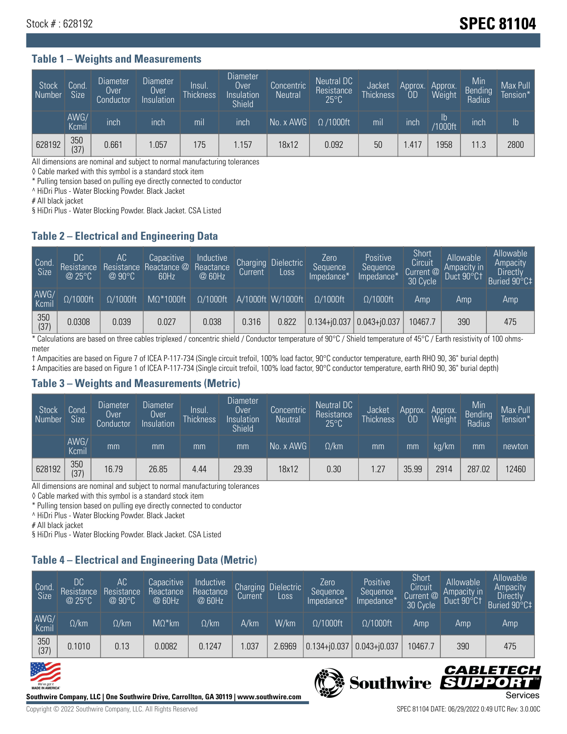## Stock # : 628192 **Stock # : 628192**

#### **Table 1 – Weights and Measurements**

| <b>Stock</b><br>Number | Cond.<br><b>Size</b> | <b>Diameter</b><br>Over<br>Conductor | <b>Diameter</b><br>Over<br>Insulation | lnsul.<br>Thickness | <b>Diameter</b><br>Over<br>Insulation<br><b>Shield</b> | Concentric<br><b>Neutral</b> | Neutral DC<br>Resistance<br>$25^{\circ}C$ | Jacket<br><b>Thickness</b> | Approx.<br>0D | Approx.<br>Weight    | Min<br><b>Bending</b><br>Radius | Max Pull<br>Tension* |
|------------------------|----------------------|--------------------------------------|---------------------------------------|---------------------|--------------------------------------------------------|------------------------------|-------------------------------------------|----------------------------|---------------|----------------------|---------------------------------|----------------------|
|                        | AWG/<br>Kcmil        | inch                                 | inch                                  | mil                 | ınch                                                   | No. x AWG                    | $\Omega$ /1000ft                          | mil                        | inch          | Ib<br><b>Y1000ft</b> | inch                            | I <sub>b</sub>       |
| 628192                 | 350<br>(37)          | 0.661                                | .057                                  | 175                 | .157                                                   | 18x12                        | 0.092                                     | 50                         | .417          | 958                  | 11.3                            | 2800                 |

All dimensions are nominal and subject to normal manufacturing tolerances

◊ Cable marked with this symbol is a standard stock item

\* Pulling tension based on pulling eye directly connected to conductor

^ HiDri Plus - Water Blocking Powder. Black Jacket

# All black jacket

§ HiDri Plus - Water Blocking Powder. Black Jacket. CSA Listed

### **Table 2 – Electrical and Engineering Data**

| Cond<br>Size  | DC<br>Resistance<br>@25°C | АC<br>$\omega$ 90°C. | Capacitive<br>Resistance Reactance @<br>60Hz | Inductive<br>Reactance<br>@ 60Hz | <b>Charging</b><br>Current | <b>Dielectric</b><br>Loss | Zero<br>Sequence<br>Impedance* | Positive<br>Sequence<br>Impedance <sup>*</sup> | Short<br>Circuit<br>Current @<br>30 Cycle | Allowable<br>Ampacity in<br>Duct 90°C+ | Allowable<br>Ampacity<br><b>Directly</b><br>Buried 90°C‡ |
|---------------|---------------------------|----------------------|----------------------------------------------|----------------------------------|----------------------------|---------------------------|--------------------------------|------------------------------------------------|-------------------------------------------|----------------------------------------|----------------------------------------------------------|
| AWG/<br>Kcmil | $\Omega/1000$ ft          | $\Omega/1000$ ft     | $M\Omega^*1000$ ft                           | $\Omega/1000$ ft                 |                            | A/1000ft W/1000ft         | $O/1000$ ft                    | $\Omega$ /1000ft                               | Amp                                       | Amp                                    | Amp                                                      |
| 350<br>(37)   | 0.0308                    | 0.039                | 0.027                                        | 0.038                            | 0.316                      | 0.822                     | $0.134 + 0.037$ 0.043+ $0.037$ |                                                | 10467.7                                   | 390                                    | 475                                                      |

\* Calculations are based on three cables triplexed / concentric shield / Conductor temperature of 90°C / Shield temperature of 45°C / Earth resistivity of 100 ohmsmeter

† Ampacities are based on Figure 7 of ICEA P-117-734 (Single circuit trefoil, 100% load factor, 90°C conductor temperature, earth RHO 90, 36" burial depth) ‡ Ampacities are based on Figure 1 of ICEA P-117-734 (Single circuit trefoil, 100% load factor, 90°C conductor temperature, earth RHO 90, 36" burial depth)

### **Table 3 – Weights and Measurements (Metric)**

| Stock<br>Number | Cond.<br><b>Size</b> | <b>Diameter</b><br>Over<br>Conductor | Diameter,<br>Over<br>Insulation | Insul.<br><b>Thickness</b> | <b>Diameter</b><br>Over<br>Insulation<br><b>Shield</b> | Concentric<br><b>Neutral</b> | Neutral DC<br>Resistance<br>$25^{\circ}$ C | Jacket<br><b>Thickness</b> | Approx.<br>0D | Approx.<br>Weight | Min<br>Bending<br>Radius | Max Pull<br>Tension* |
|-----------------|----------------------|--------------------------------------|---------------------------------|----------------------------|--------------------------------------------------------|------------------------------|--------------------------------------------|----------------------------|---------------|-------------------|--------------------------|----------------------|
|                 | AWG/<br>Kcmil        | mm                                   | mm                              | mm                         | mm                                                     | No. x AWG                    | $\Omega$ /km                               | mm                         | mm            | ka/km             | mm                       | newton               |
| 628192          | 350<br>(37)          | 16.79                                | 26.85                           | 4.44                       | 29.39                                                  | 18x12                        | 0.30                                       | 1.27                       | 35.99         | 2914              | 287.02                   | 12460                |

All dimensions are nominal and subject to normal manufacturing tolerances

◊ Cable marked with this symbol is a standard stock item

\* Pulling tension based on pulling eye directly connected to conductor

^ HiDri Plus - Water Blocking Powder. Black Jacket

# All black jacket

§ HiDri Plus - Water Blocking Powder. Black Jacket. CSA Listed

### **Table 4 – Electrical and Engineering Data (Metric)**

| Cond<br>Size  | DC<br>Resistance<br>@25°C | АC<br>Resistance<br>@90°C | Capacitive<br>Reactance<br>@ 60Hz | Inductive<br>Reactance<br>@ 60Hz | Charging<br><b>Current</b> | <b>Dielectric</b><br>Loss. | Zero<br>Sequence<br>Impedance* | Positive<br>Sequence<br>Impedance* | Short<br>Circuit<br>Current @<br>30 Cycle | Allowable<br>Ampacity in<br>Duct 90°Ct | Allowable<br>Ampacity<br>Directly<br>Buried 90°C‡ |
|---------------|---------------------------|---------------------------|-----------------------------------|----------------------------------|----------------------------|----------------------------|--------------------------------|------------------------------------|-------------------------------------------|----------------------------------------|---------------------------------------------------|
| AWG/<br>Kcmil | $\Omega$ /km              | $\Omega$ /km              | $M\Omega^*$ km                    | $\Omega$ /km                     | A/km                       | W/km                       | $\Omega/1000$ ft               | $\Omega/1000$ ft                   | Amp                                       | Amp                                    | Amp                                               |
| 350<br>(37)   | 0.1010                    | 0.13                      | 0.0082                            | 0.1247                           | .037                       | 2.6969                     | $0.134 + j0.037$               | $0.043 + j0.037$                   | 10467.7                                   | 390                                    | 475                                               |





Copyright © 2022 Southwire Company, LLC. All Rights Reserved SPEC 81104 DATE: 06/29/2022 0:49 UTC Rev: 3.0.00C